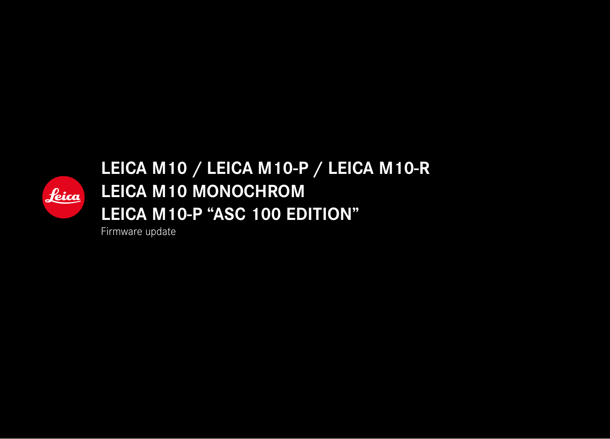

# **LEICA M10 / LEICA M10-P / LEICA M10-R LEICA M10 MONOCHROM LEICA M10-P "ASC 100 EDITION"**

Firmware update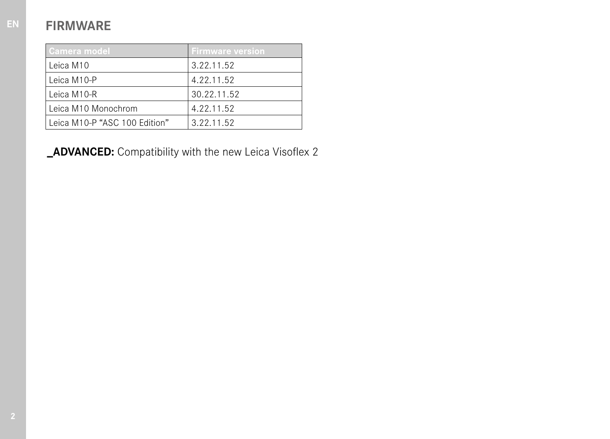## **FIRMWARE**

| Camera model                  | <b>Firmware version</b> |
|-------------------------------|-------------------------|
| Leica M10                     | 3.22.11.52              |
| Leica M10-P                   | 4.22.11.52              |
| Leica M10-R                   | 30.22.11.52             |
| Leica M10 Monochrom           | 4.22.11.52              |
| Leica M10-P "ASC 100 Edition" | 3.22.11.52              |

**\_ADVANCED:** Compatibility with the new Leica Visoflex 2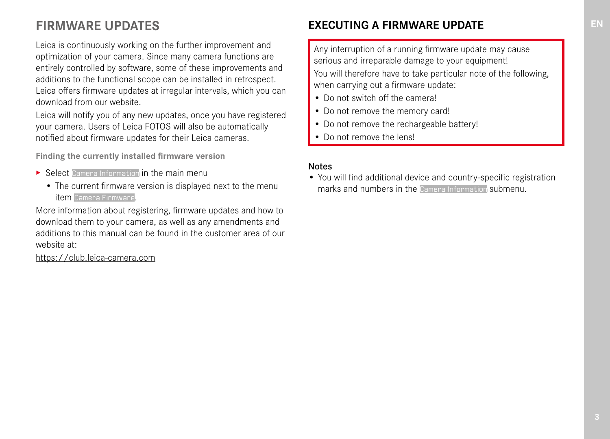# **FIRMWARE UPDATES**

Leica is continuously working on the further improvement and optimization of your camera. Since many camera functions are entirely controlled by software, some of these improvements and additions to the functional scope can be installed in retrospect. Leica offers firmware updates at irregular intervals, which you can download from our website.

Leica will notify you of any new updates, once you have registered your camera. Users of Leica FOTOS will also be automatically notified about firmware updates for their Leica cameras.

**Finding the currently installed firmware version**

- ▶ Select Camera Information in the main menu
	- The current firmware version is displayed next to the menu item Camera Firmware.

More information about registering, firmware updates and how to download them to your camera, as well as any amendments and additions to this manual can be found in the customer area of our website at:

https://club.leica-camera.com

## **EXECUTING A FIRMWARE UPDATE**

Any interruption of a running firmware update may cause serious and irreparable damage to your equipment! You will therefore have to take particular note of the following, when carrying out a firmware update:

- Do not switch off the cameral
- Do not remove the memory card!
- Do not remove the rechargeable battery!
- Do not remove the lens!

#### Notes

• You will find additional device and country-specific registration marks and numbers in the Camera Information submenu.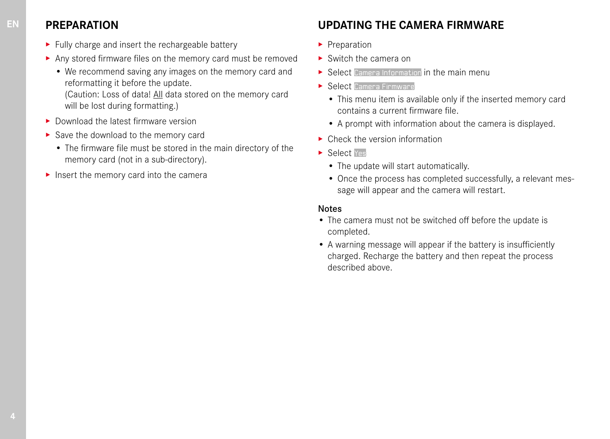## **PREPARATION**

- ▸ Fully charge and insert the rechargeable battery
- ▸ Any stored firmware files on the memory card must be removed
	- We recommend saving any images on the memory card and reformatting it before the update.

(Caution: Loss of data! All data stored on the memory card will be lost during formatting.)

- ▶ Download the latest firmware version
- ▸ Save the download to the memory card
	- The firmware file must be stored in the main directory of the memory card (not in a sub-directory).
- ▸ Insert the memory card into the camera

## **UPDATING THE CAMERA FIRMWARE**

- ▸ Preparation
- ▶ Switch the camera on
- ▶ Select Camera Information in the main menu
- ▸ Select Camera Firmware
	- This menu item is available only if the inserted memory card contains a current firmware file.
	- A prompt with information about the camera is displayed.
- $\triangleright$  Check the version information
- ▸ Select Yes
	- The update will start automatically.
	- Once the process has completed successfully, a relevant message will appear and the camera will restart.

#### Notes

- The camera must not be switched off before the update is completed.
- A warning message will appear if the battery is insufficiently charged. Recharge the battery and then repeat the process described above.

**EN**